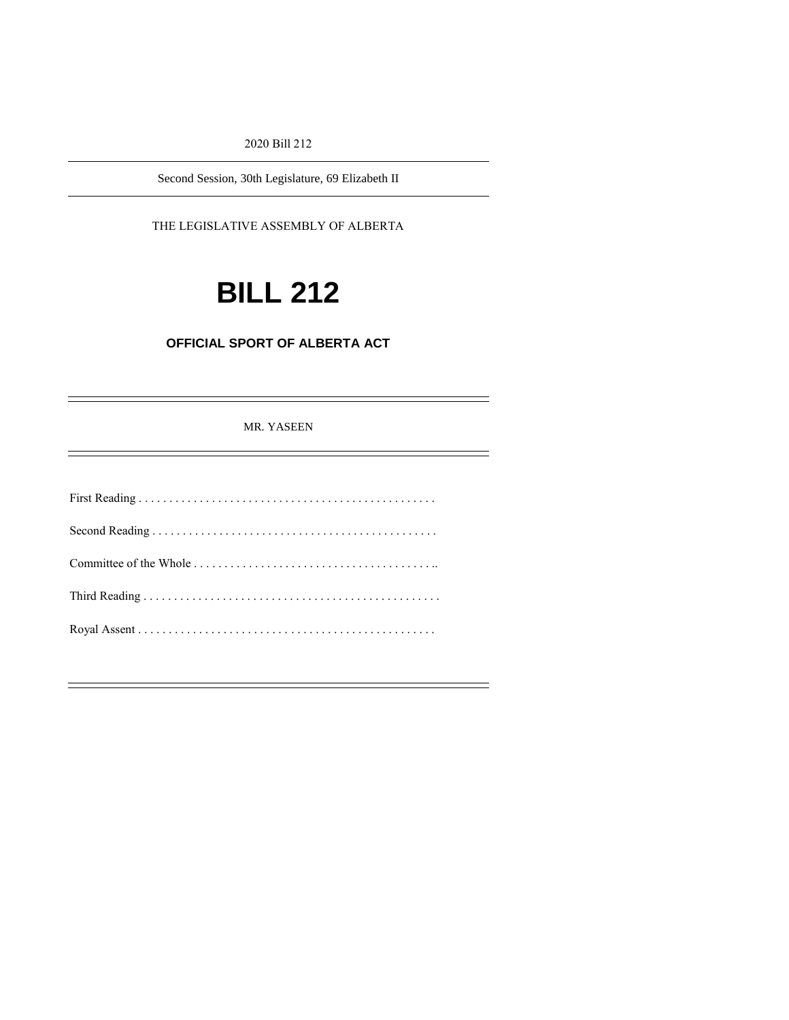#### 2020 Bill 212

Second Session, 30th Legislature, 69 Elizabeth II

### THE LEGISLATIVE ASSEMBLY OF ALBERTA

# **BILL 212**

# **OFFICIAL SPORT OF ALBERTA ACT**

MR. YASEEN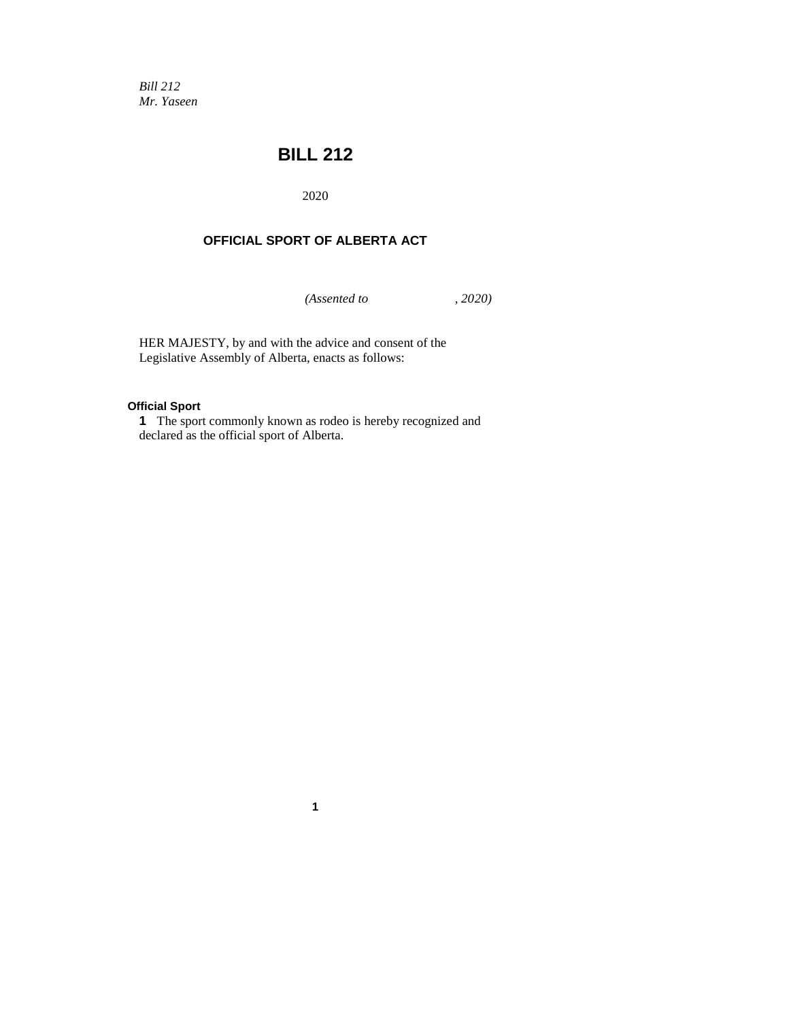*Bill 212 Mr. Yaseen*

# **BILL 212**

2020

## **OFFICIAL SPORT OF ALBERTA ACT**

*(Assented to , 2020)*

HER MAJESTY, by and with the advice and consent of the Legislative Assembly of Alberta, enacts as follows:

#### **Official Sport**

**1** The sport commonly known as rodeo is hereby recognized and declared as the official sport of Alberta.